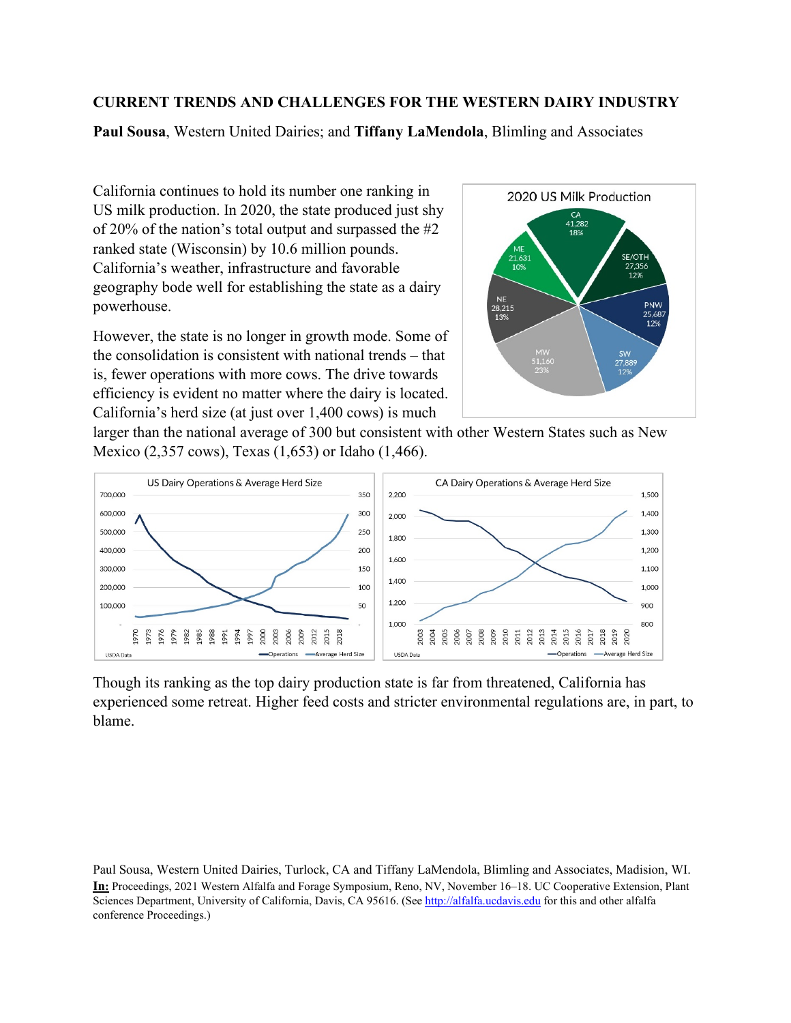## **CURRENT TRENDS AND CHALLENGES FOR THE WESTERN DAIRY INDUSTRY**

**Paul Sousa**, Western United Dairies; and **Tiffany LaMendola**, Blimling and Associates

California continues to hold its number one ranking in US milk production. In 2020, the state produced just shy of 20% of the nation's total output and surpassed the #2 ranked state (Wisconsin) by 10.6 million pounds. California's weather, infrastructure and favorable geography bode well for establishing the state as a dairy powerhouse.

However, the state is no longer in growth mode. Some of the consolidation is consistent with national trends – that is, fewer operations with more cows. The drive towards efficiency is evident no matter where the dairy is located. California's herd size (at just over 1,400 cows) is much



larger than the national average of 300 but consistent with other Western States such as New Mexico (2,357 cows), Texas (1,653) or Idaho (1,466).



Though its ranking as the top dairy production state is far from threatened, California has experienced some retreat. Higher feed costs and stricter environmental regulations are, in part, to blame.

Paul Sousa, Western United Dairies, Turlock, CA and Tiffany LaMendola, Blimling and Associates, Madision, WI. **In:** Proceedings, 2021 Western Alfalfa and Forage Symposium, Reno, NV, November 16–18. UC Cooperative Extension, Plant Sciences Department, University of California, Davis, CA 95616. (See [http://alfalfa.ucdavis.edu](http://alfalfa.ucdavis.edu/) for this and other alfalfa conference Proceedings.)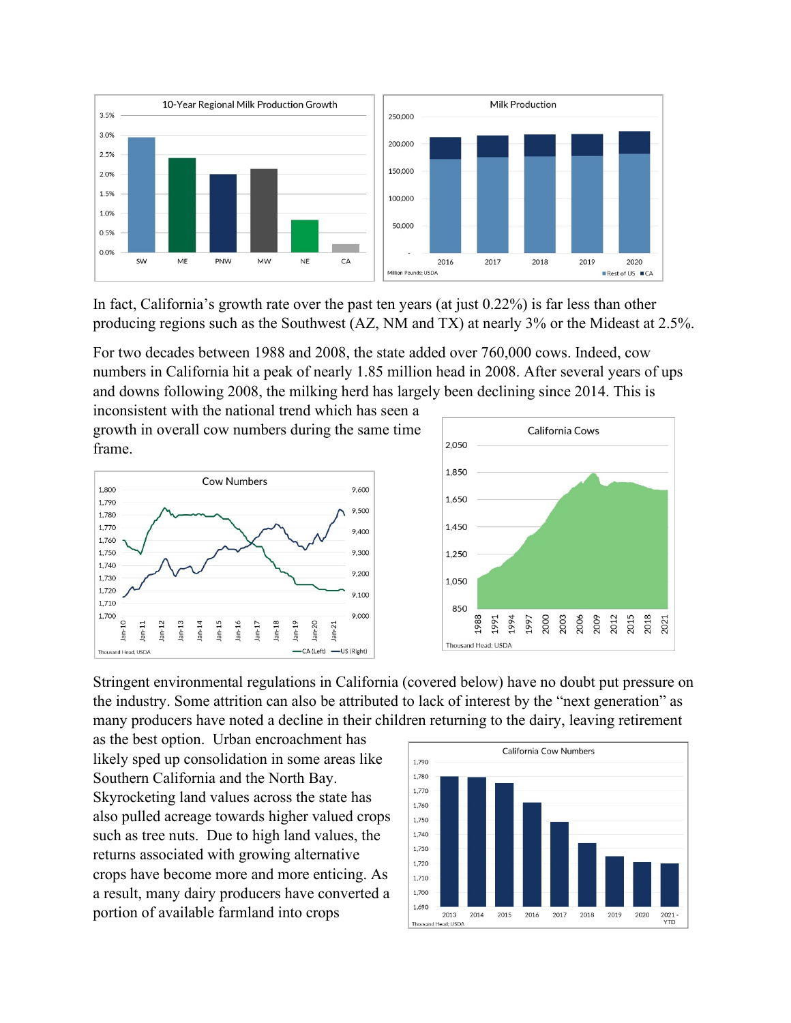

In fact, California's growth rate over the past ten years (at just 0.22%) is far less than other producing regions such as the Southwest (AZ, NM and TX) at nearly 3% or the Mideast at 2.5%.

For two decades between 1988 and 2008, the state added over 760,000 cows. Indeed, cow numbers in California hit a peak of nearly 1.85 million head in 2008. After several years of ups and downs following 2008, the milking herd has largely been declining since 2014. This is

inconsistent with the national trend which has seen a growth in overall cow numbers during the same time frame.





Stringent environmental regulations in California (covered below) have no doubt put pressure on the industry. Some attrition can also be attributed to lack of interest by the "next generation" as many producers have noted a decline in their children returning to the dairy, leaving retirement

as the best option. Urban encroachment has likely sped up consolidation in some areas like Southern California and the North Bay. Skyrocketing land values across the state has also pulled acreage towards higher valued crops such as tree nuts. Due to high land values, the returns associated with growing alternative crops have become more and more enticing. As a result, many dairy producers have converted a portion of available farmland into crops

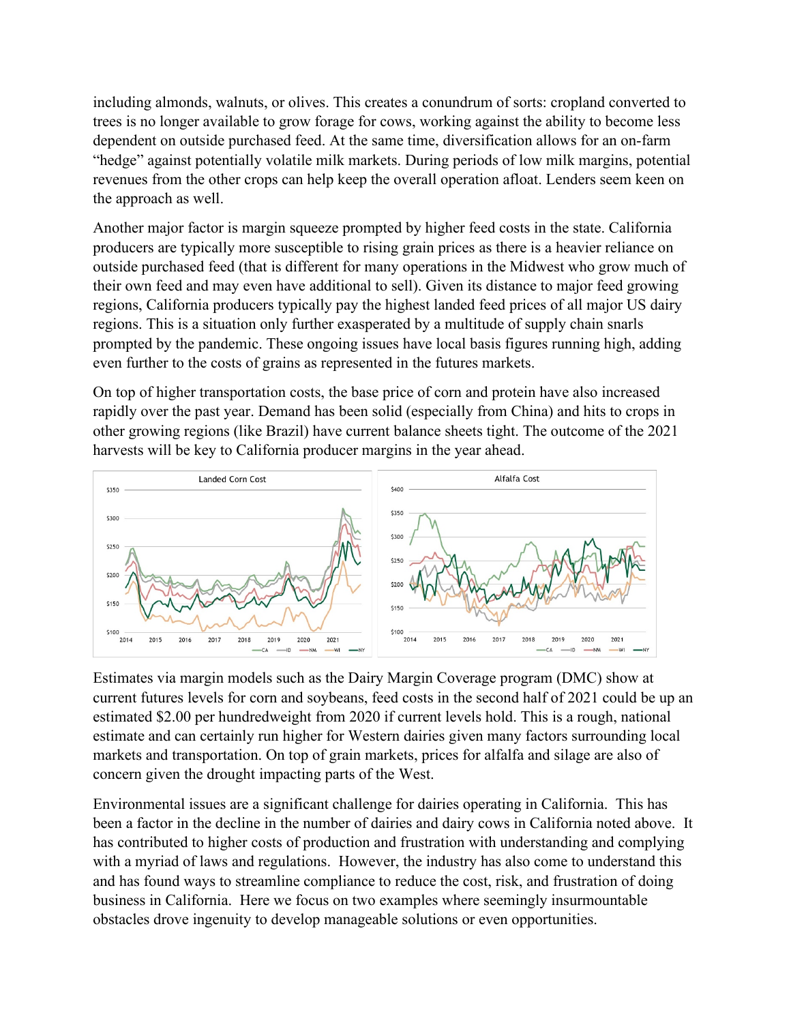including almonds, walnuts, or olives. This creates a conundrum of sorts: cropland converted to trees is no longer available to grow forage for cows, working against the ability to become less dependent on outside purchased feed. At the same time, diversification allows for an on-farm "hedge" against potentially volatile milk markets. During periods of low milk margins, potential revenues from the other crops can help keep the overall operation afloat. Lenders seem keen on the approach as well.

Another major factor is margin squeeze prompted by higher feed costs in the state. California producers are typically more susceptible to rising grain prices as there is a heavier reliance on outside purchased feed (that is different for many operations in the Midwest who grow much of their own feed and may even have additional to sell). Given its distance to major feed growing regions, California producers typically pay the highest landed feed prices of all major US dairy regions. This is a situation only further exasperated by a multitude of supply chain snarls prompted by the pandemic. These ongoing issues have local basis figures running high, adding even further to the costs of grains as represented in the futures markets.

On top of higher transportation costs, the base price of corn and protein have also increased rapidly over the past year. Demand has been solid (especially from China) and hits to crops in other growing regions (like Brazil) have current balance sheets tight. The outcome of the 2021 harvests will be key to California producer margins in the year ahead.



Estimates via margin models such as the Dairy Margin Coverage program (DMC) show at current futures levels for corn and soybeans, feed costs in the second half of 2021 could be up an estimated \$2.00 per hundredweight from 2020 if current levels hold. This is a rough, national estimate and can certainly run higher for Western dairies given many factors surrounding local markets and transportation. On top of grain markets, prices for alfalfa and silage are also of concern given the drought impacting parts of the West.

Environmental issues are a significant challenge for dairies operating in California. This has been a factor in the decline in the number of dairies and dairy cows in California noted above. It has contributed to higher costs of production and frustration with understanding and complying with a myriad of laws and regulations. However, the industry has also come to understand this and has found ways to streamline compliance to reduce the cost, risk, and frustration of doing business in California. Here we focus on two examples where seemingly insurmountable obstacles drove ingenuity to develop manageable solutions or even opportunities.